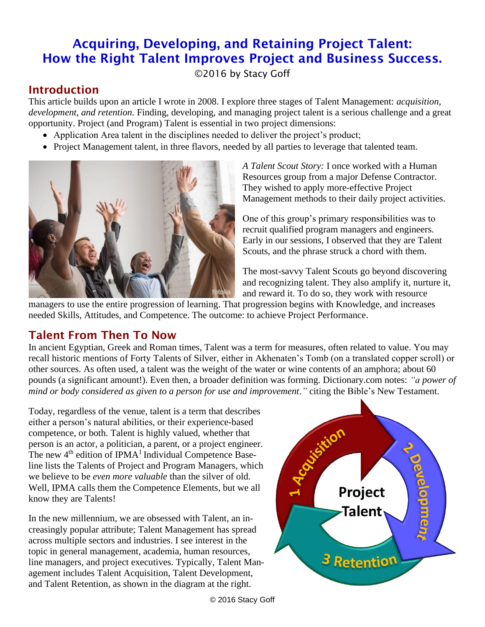# Acquiring, Developing, and Retaining Project Talent: How the Right Talent Improves Project and Business Success.

©2016 by Stacy Goff

# Introduction

This article builds upon an article I wrote in 2008. I explore three stages of Talent Management: *acquisition*, *development, and retention.* Finding, developing, and managing project talent is a serious challenge and a great opportunity. Project (and Program) Talent is essential in two project dimensions:

- Application Area talent in the disciplines needed to deliver the project's product;
- Project Management talent, in three flavors, needed by all parties to leverage that talented team.



*A Talent Scout Story:* I once worked with a Human Resources group from a major Defense Contractor. They wished to apply more-effective Project Management methods to their daily project activities.

One of this group's primary responsibilities was to recruit qualified program managers and engineers. Early in our sessions, I observed that they are Talent Scouts, and the phrase struck a chord with them.

The most-savvy Talent Scouts go beyond discovering and recognizing talent. They also amplify it, nurture it, and reward it. To do so, they work with resource

managers to use the entire progression of learning. That progression begins with Knowledge, and increases needed Skills, Attitudes, and Competence. The outcome: to achieve Project Performance.

## Talent From Then To Now

In ancient Egyptian, Greek and Roman times, Talent was a term for measures, often related to value. You may recall historic mentions of Forty Talents of Silver, either in Akhenaten's Tomb (on a translated copper scroll) or other sources. As often used, a talent was the weight of the water or wine contents of an amphora; about 60 pounds (a significant amount!). Even then, a broader definition was forming. Dictionary.com notes: *"a power of mind or body considered as given to a person for use and improvement*.*"* citing the Bible's New Testament.

Today, regardless of the venue, talent is a term that describes either a person's natural abilities, or their experience-based competence, or both. Talent is highly valued, whether that person is an actor, a politician, a parent, or a project engineer. The new  $4<sup>th</sup>$  edition of IPMA<sup>1</sup> Individual Competence Baseline lists the Talents of Project and Program Managers, which we believe to be *even more valuable* than the silver of old. Well, IPMA calls them the Competence Elements, but we all know they are Talents!

In the new millennium, we are obsessed with Talent, an increasingly popular attribute; Talent Management has spread across multiple sectors and industries. I see interest in the topic in general management, academia, human resources, line managers, and project executives. Typically, Talent Management includes Talent Acquisition, Talent Development, and Talent Retention, as shown in the diagram at the right.

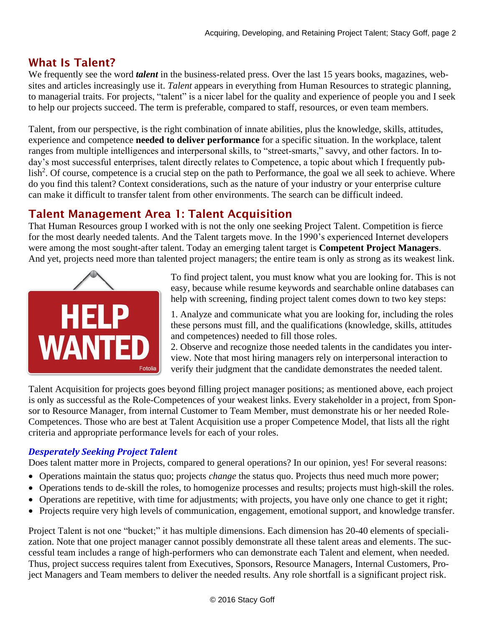## What Is Talent?

We frequently see the word *talent* in the business-related press. Over the last 15 years books, magazines, websites and articles increasingly use it. *Talent* appears in everything from Human Resources to strategic planning, to managerial traits. For projects, "talent" is a nicer label for the quality and experience of people you and I seek to help our projects succeed. The term is preferable, compared to staff, resources, or even team members.

Talent, from our perspective, is the right combination of innate abilities, plus the knowledge, skills, attitudes, experience and competence **needed to deliver performance** for a specific situation. In the workplace, talent ranges from multiple intelligences and interpersonal skills, to "street-smarts," savvy, and other factors. In today's most successful enterprises, talent directly relates to Competence, a topic about which I frequently publish<sup>2</sup>. Of course, competence is a crucial step on the path to Performance, the goal we all seek to achieve. Where do you find this talent? Context considerations, such as the nature of your industry or your enterprise culture can make it difficult to transfer talent from other environments. The search can be difficult indeed.

## Talent Management Area 1: Talent Acquisition

That Human Resources group I worked with is not the only one seeking Project Talent. Competition is fierce for the most dearly needed talents. And the Talent targets move. In the 1990's experienced Internet developers were among the most sought-after talent. Today an emerging talent target is **Competent Project Managers**. And yet, projects need more than talented project managers; the entire team is only as strong as its weakest link.



To find project talent, you must know what you are looking for. This is not easy, because while resume keywords and searchable online databases can help with screening, finding project talent comes down to two key steps:

1. Analyze and communicate what you are looking for, including the roles these persons must fill, and the qualifications (knowledge, skills, attitudes and competences) needed to fill those roles.

2. Observe and recognize those needed talents in the candidates you interview. Note that most hiring managers rely on interpersonal interaction to verify their judgment that the candidate demonstrates the needed talent.

Talent Acquisition for projects goes beyond filling project manager positions; as mentioned above, each project is only as successful as the Role-Competences of your weakest links. Every stakeholder in a project, from Sponsor to Resource Manager, from internal Customer to Team Member, must demonstrate his or her needed Role-Competences. Those who are best at Talent Acquisition use a proper Competence Model, that lists all the right criteria and appropriate performance levels for each of your roles.

#### *Desperately Seeking Project Talent*

Does talent matter more in Projects, compared to general operations? In our opinion, yes! For several reasons:

- Operations maintain the status quo; projects *change* the status quo. Projects thus need much more power;
- Operations tends to de-skill the roles, to homogenize processes and results; projects must high-skill the roles.
- Operations are repetitive, with time for adjustments; with projects, you have only one chance to get it right;
- Projects require very high levels of communication, engagement, emotional support, and knowledge transfer.

Project Talent is not one "bucket;" it has multiple dimensions. Each dimension has 20-40 elements of specialization. Note that one project manager cannot possibly demonstrate all these talent areas and elements. The successful team includes a range of high-performers who can demonstrate each Talent and element, when needed. Thus, project success requires talent from Executives, Sponsors, Resource Managers, Internal Customers, Project Managers and Team members to deliver the needed results. Any role shortfall is a significant project risk.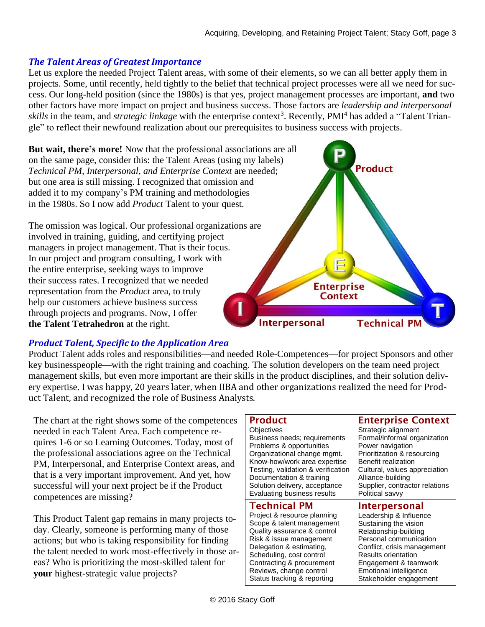#### *The Talent Areas of Greatest Importance*

Let us explore the needed Project Talent areas, with some of their elements, so we can all better apply them in projects. Some, until recently, held tightly to the belief that technical project processes were all we need for success. Our long-held position (since the 1980s) is that yes, project management processes are important, **and** two other factors have more impact on project and business success. Those factors are *leadership and interpersonal*  skills in the team, and *strategic linkage* with the enterprise context<sup>3</sup>. Recently, PMI<sup>4</sup> has added a "Talent Triangle" to reflect their newfound realization about our prerequisites to business success with projects.

**But wait, there's more!** Now that the professional associations are all on the same page, consider this: the Talent Areas (using my labels) *Technical PM, Interpersonal, and Enterprise Context* are needed; but one area is still missing. I recognized that omission and added it to my company's PM training and methodologies in the 1980s. So I now add *Product* Talent to your quest.

The omission was logical. Our professional organizations are involved in training, guiding, and certifying project managers in project management. That is their focus. In our project and program consulting, I work with the entire enterprise, seeking ways to improve their success rates. I recognized that we needed representation from the *Product* area, to truly help our customers achieve business success through projects and programs. Now, I offer **the Talent Tetrahedron** at the right.

# **Product Enterprise Context Technical PM** Interpersonal

#### *Product Talent, Specific to the Application Area*

Product Talent adds roles and responsibilities—and needed Role-Competences—for project Sponsors and other key businesspeople—with the right training and coaching. The solution developers on the team need project management skills, but even more important are their skills in the product disciplines, and their solution delivery expertise. I was happy, 20 years later, when IIBA and other organizations realized the need for Product Talent, and recognized the role of Business Analysts.

The chart at the right shows some of the competences needed in each Talent Area. Each competence requires 1-6 or so Learning Outcomes. Today, most of the professional associations agree on the Technical PM, Interpersonal, and Enterprise Context areas, and that is a very important improvement. And yet, how successful will your next project be if the Product competences are missing?

This Product Talent gap remains in many projects today. Clearly, someone is performing many of those actions; but who is taking responsibility for finding the talent needed to work most-effectively in those areas? Who is prioritizing the most-skilled talent for **your** highest-strategic value projects?

| <b>Product</b>                                         | <b>Enterprise Context</b>                               |
|--------------------------------------------------------|---------------------------------------------------------|
| Objectives                                             | Strategic alignment                                     |
| Business needs; requirements                           | Formal/informal organization                            |
| Problems & opportunities                               | Power navigation                                        |
| Organizational change mgmt.                            | Prioritization & resourcing                             |
| Know-how/work area expertise                           | Benefit realization                                     |
| Testing, validation & verification                     | Cultural, values appreciation                           |
| Documentation & training                               | Alliance-building                                       |
| Solution delivery, acceptance                          | Supplier, contractor relations                          |
| Evaluating business results                            | Political savvy                                         |
|                                                        |                                                         |
| <b>Technical PM</b>                                    | Interpersonal                                           |
| Project & resource planning                            | Leadership & Influence                                  |
| Scope & talent management                              | Sustaining the vision                                   |
| Quality assurance & control                            | Relationship-building                                   |
| Risk & issue management                                | Personal communication                                  |
| Delegation & estimating,                               | Conflict, crisis management                             |
| Scheduling, cost control                               | Results orientation                                     |
| Contracting & procurement                              | Engagement & teamwork                                   |
| Reviews, change control<br>Status tracking & reporting | <b>Emotional intelligence</b><br>Stakeholder engagement |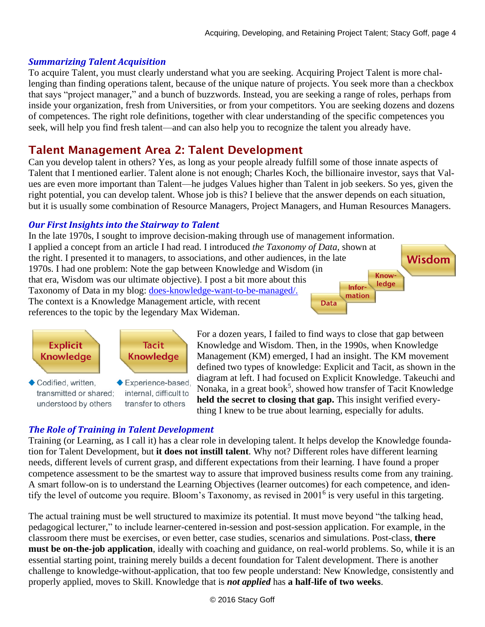#### *Summarizing Talent Acquisition*

To acquire Talent, you must clearly understand what you are seeking. Acquiring Project Talent is more challenging than finding operations talent, because of the unique nature of projects. You seek more than a checkbox that says "project manager," and a bunch of buzzwords. Instead, you are seeking a range of roles, perhaps from inside your organization, fresh from Universities, or from your competitors. You are seeking dozens and dozens of competences. The right role definitions, together with clear understanding of the specific competences you seek, will help you find fresh talent—and can also help you to recognize the talent you already have.

## Talent Management Area 2: Talent Development

Can you develop talent in others? Yes, as long as your people already fulfill some of those innate aspects of Talent that I mentioned earlier. Talent alone is not enough; Charles Koch, the billionaire investor, says that Values are even more important than Talent—he judges Values higher than Talent in job seekers. So yes, given the right potential, you can develop talent. Whose job is this? I believe that the answer depends on each situation, but it is usually some combination of Resource Managers, Project Managers, and Human Resources Managers.

#### *Our First Insights into the Stairway to Talent*

In the late 1970s, I sought to improve decision-making through use of management information. I applied a concept from an article I had read. I introduced *the Taxonomy of Data*, shown at the right. I presented it to managers, to associations, and other audiences, in the late 1970s. I had one problem: Note the gap between Knowledge and Wisdom (in Knowthat era, Wisdom was our ultimate objective). I post a bit more about this ledge Infor-Taxonomy of Data in my blog: [does-knowledge-want-to-be-managed/.](https://stacygoff.com/does-knowledge-want-to-be-managed/) mation The context is a Knowledge Management article, with recent **Data** references to the topic by the legendary Max Wideman.



Codified, written. transmitted or shared: understood by others

Experience-based, internal, difficult to transfer to others

For a dozen years, I failed to find ways to close that gap between Knowledge and Wisdom. Then, in the 1990s, when Knowledge Management (KM) emerged, I had an insight. The KM movement defined two types of knowledge: Explicit and Tacit, as shown in the diagram at left. I had focused on Explicit Knowledge. Takeuchi and Nonaka, in a great book<sup>5</sup>, showed how transfer of Tacit Knowledge **held the secret to closing that gap.** This insight verified everything I knew to be true about learning, especially for adults.

**Wisdom** 

#### *The Role of Training in Talent Development*

Training (or Learning, as I call it) has a clear role in developing talent. It helps develop the Knowledge foundation for Talent Development, but **it does not instill talent**. Why not? Different roles have different learning needs, different levels of current grasp, and different expectations from their learning. I have found a proper competence assessment to be the smartest way to assure that improved business results come from any training. A smart follow-on is to understand the Learning Objectives (learner outcomes) for each competence, and identify the level of outcome you require. Bloom's Taxonomy, as revised in 2001<sup>6</sup> is very useful in this targeting.

The actual training must be well structured to maximize its potential. It must move beyond "the talking head, pedagogical lecturer," to include learner-centered in-session and post-session application. For example, in the classroom there must be exercises, or even better, case studies, scenarios and simulations. Post-class, **there must be on-the-job application**, ideally with coaching and guidance, on real-world problems. So, while it is an essential starting point, training merely builds a decent foundation for Talent development. There is another challenge to knowledge-without-application, that too few people understand: New Knowledge, consistently and properly applied, moves to Skill. Knowledge that is *not applied* has **a half-life of two weeks**.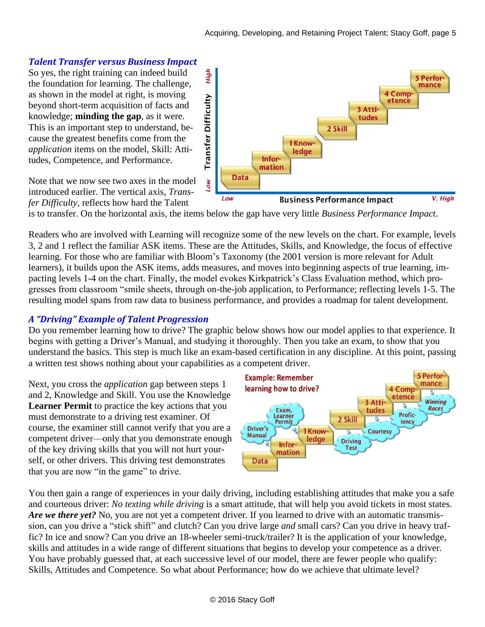#### *Talent Transfer versus Business Impact*

So yes, the right training can indeed build the foundation for learning. The challenge, as shown in the model at right, is moving beyond short-term acquisition of facts and knowledge; **minding the gap**, as it were. This is an important step to understand, because the greatest benefits come from the *application* items on the model, Skill: Attitudes, Competence, and Performance.

Note that we now see two axes in the model introduced earlier. The vertical axis, *Transfer Difficulty*, reflects how hard the Talent



is to transfer. On the horizontal axis, the items below the gap have very little *Business Performance Impact*.

Readers who are involved with Learning will recognize some of the new levels on the chart. For example, levels 3, 2 and 1 reflect the familiar ASK items. These are the Attitudes, Skills, and Knowledge, the focus of effective learning. For those who are familiar with Bloom's Taxonomy (the 2001 version is more relevant for Adult learners), it builds upon the ASK items, adds measures, and moves into beginning aspects of true learning, impacting levels 1-4 on the chart. Finally, the model evokes Kirkpatrick's Class Evaluation method, which progresses from classroom "smile sheets, through on-the-job application, to Performance; reflecting levels 1-5. The resulting model spans from raw data to business performance, and provides a roadmap for talent development.

#### *A "Driving" Example of Talent Progression*

Do you remember learning how to drive? The graphic below shows how our model applies to that experience. It begins with getting a Driver's Manual, and studying it thoroughly. Then you take an exam, to show that you understand the basics. This step is much like an exam-based certification in any discipline. At this point, passing a written test shows nothing about your capabilities as a competent driver.

Next, you cross the *application* gap between steps 1 and 2, Knowledge and Skill. You use the Knowledge **Learner Permit** to practice the key actions that you must demonstrate to a driving test examiner. Of course, the examiner still cannot verify that you are a competent driver—only that you demonstrate enough of the key driving skills that you will not hurt yourself, or other drivers. This driving test demonstrates that you are now "in the game" to drive.



You then gain a range of experiences in your daily driving, including establishing attitudes that make you a safe and courteous driver: *No texting while driving* is a smart attitude, that will help you avoid tickets in most states. *Are we there yet?* No, you are not yet a competent driver. If you learned to drive with an automatic transmission, can you drive a "stick shift" and clutch? Can you drive large *and* small cars? Can you drive in heavy traffic? In ice and snow? Can you drive an 18-wheeler semi-truck/trailer? It is the application of your knowledge, skills and attitudes in a wide range of different situations that begins to develop your competence as a driver. You have probably guessed that, at each successive level of our model, there are fewer people who qualify: Skills, Attitudes and Competence. So what about Performance; how do we achieve that ultimate level?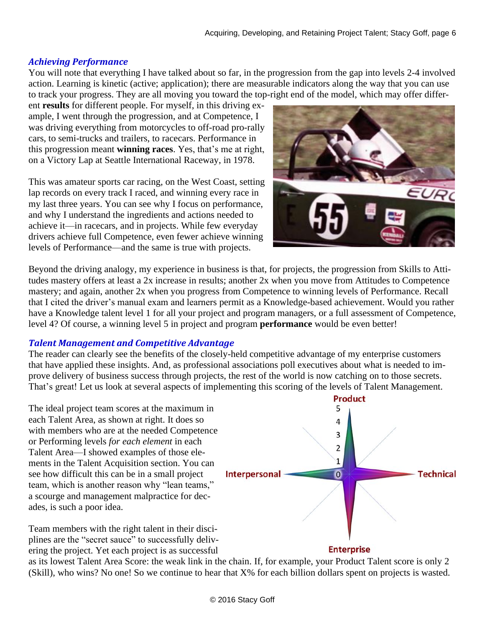#### *Achieving Performance*

You will note that everything I have talked about so far, in the progression from the gap into levels 2-4 involved action. Learning is kinetic (active; application); there are measurable indicators along the way that you can use to track your progress. They are all moving you toward the top-right end of the model, which may offer differ-

ent **results** for different people. For myself, in this driving example, I went through the progression, and at Competence, I was driving everything from motorcycles to off-road pro-rally cars, to semi-trucks and trailers, to racecars. Performance in this progression meant **winning races**. Yes, that's me at right, on a Victory Lap at Seattle International Raceway, in 1978.

This was amateur sports car racing, on the West Coast, setting lap records on every track I raced, and winning every race in my last three years. You can see why I focus on performance, and why I understand the ingredients and actions needed to achieve it—in racecars, and in projects. While few everyday drivers achieve full Competence, even fewer achieve winning levels of Performance—and the same is true with projects.



Beyond the driving analogy, my experience in business is that, for projects, the progression from Skills to Attitudes mastery offers at least a 2x increase in results; another 2x when you move from Attitudes to Competence mastery; and again, another 2x when you progress from Competence to winning levels of Performance. Recall that I cited the driver's manual exam and learners permit as a Knowledge-based achievement. Would you rather have a Knowledge talent level 1 for all your project and program managers, or a full assessment of Competence, level 4? Of course, a winning level 5 in project and program **performance** would be even better!

#### *Talent Management and Competitive Advantage*

The reader can clearly see the benefits of the closely-held competitive advantage of my enterprise customers that have applied these insights. And, as professional associations poll executives about what is needed to improve delivery of business success through projects, the rest of the world is now catching on to those secrets. That's great! Let us look at several aspects of implementing this scoring of the levels of Talent Management.

The ideal project team scores at the maximum in each Talent Area, as shown at right. It does so with members who are at the needed Competence or Performing levels *for each element* in each Talent Area—I showed examples of those elements in the Talent Acquisition section. You can see how difficult this can be in a small project team, which is another reason why "lean teams," a scourge and management malpractice for decades, is such a poor idea.

Team members with the right talent in their disciplines are the "secret sauce" to successfully delivering the project. Yet each project is as successful



as its lowest Talent Area Score: the weak link in the chain. If, for example, your Product Talent score is only 2 (Skill), who wins? No one! So we continue to hear that X% for each billion dollars spent on projects is wasted.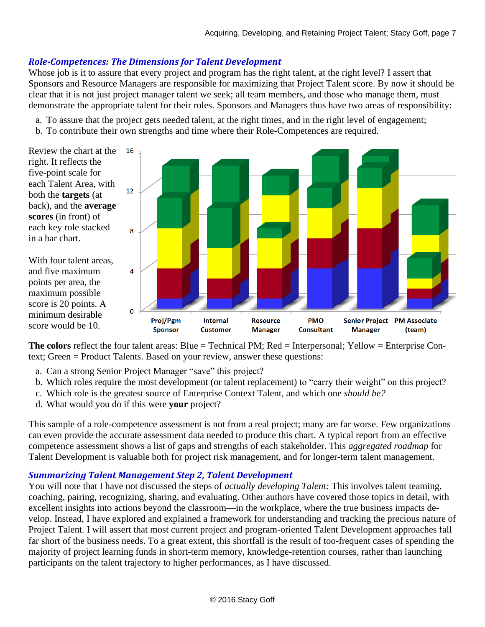#### *Role-Competences: The Dimensions for Talent Development*

Whose job is it to assure that every project and program has the right talent, at the right level? I assert that Sponsors and Resource Managers are responsible for maximizing that Project Talent score. By now it should be clear that it is not just project manager talent we seek; all team members, and those who manage them, must demonstrate the appropriate talent for their roles. Sponsors and Managers thus have two areas of responsibility:

- a. To assure that the project gets needed talent, at the right times, and in the right level of engagement;
- b. To contribute their own strengths and time where their Role-Competences are required.

Review the chart at the right. It reflects the five-point scale for each Talent Area, with both the **targets** (at back), and the **average scores** (in front) of each key role stacked in a bar chart.

With four talent areas, and five maximum points per area, the maximum possible score is 20 points. A minimum desirable score would be 10.



**The colors** reflect the four talent areas: Blue = Technical PM; Red = Interpersonal; Yellow = Enterprise Context; Green = Product Talents. Based on your review, answer these questions:

- a. Can a strong Senior Project Manager "save" this project?
- b. Which roles require the most development (or talent replacement) to "carry their weight" on this project?
- c. Which role is the greatest source of Enterprise Context Talent, and which one *should be?*
- d. What would you do if this were **your** project?

This sample of a role-competence assessment is not from a real project; many are far worse. Few organizations can even provide the accurate assessment data needed to produce this chart. A typical report from an effective competence assessment shows a list of gaps and strengths of each stakeholder. This *aggregated roadmap* for Talent Development is valuable both for project risk management, and for longer-term talent management.

#### *Summarizing Talent Management Step 2, Talent Development*

You will note that I have not discussed the steps of *actually developing Talent:* This involves talent teaming, coaching, pairing, recognizing, sharing, and evaluating. Other authors have covered those topics in detail, with excellent insights into actions beyond the classroom—in the workplace, where the true business impacts develop. Instead, I have explored and explained a framework for understanding and tracking the precious nature of Project Talent. I will assert that most current project and program-oriented Talent Development approaches fall far short of the business needs. To a great extent, this shortfall is the result of too-frequent cases of spending the majority of project learning funds in short-term memory, knowledge-retention courses, rather than launching participants on the talent trajectory to higher performances, as I have discussed.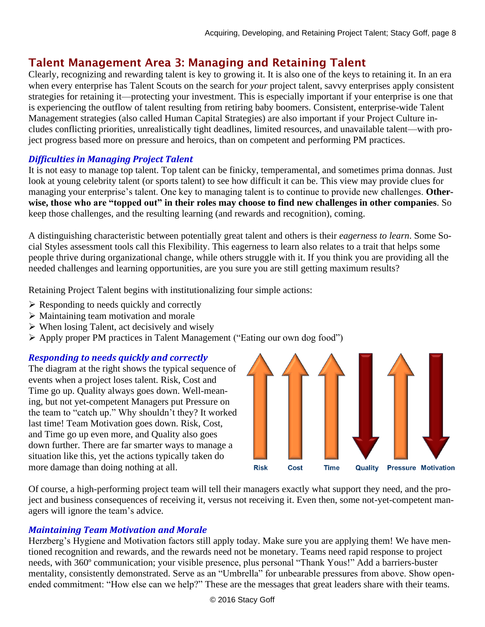# Talent Management Area 3: Managing and Retaining Talent

Clearly, recognizing and rewarding talent is key to growing it. It is also one of the keys to retaining it. In an era when every enterprise has Talent Scouts on the search for *your* project talent, savvy enterprises apply consistent strategies for retaining it—protecting your investment. This is especially important if your enterprise is one that is experiencing the outflow of talent resulting from retiring baby boomers. Consistent, enterprise-wide Talent Management strategies (also called Human Capital Strategies) are also important if your Project Culture includes conflicting priorities, unrealistically tight deadlines, limited resources, and unavailable talent—with project progress based more on pressure and heroics, than on competent and performing PM practices.

#### *Difficulties in Managing Project Talent*

It is not easy to manage top talent. Top talent can be finicky, temperamental, and sometimes prima donnas. Just look at young celebrity talent (or sports talent) to see how difficult it can be. This view may provide clues for managing your enterprise's talent. One key to managing talent is to continue to provide new challenges. **Otherwise, those who are "topped out" in their roles may choose to find new challenges in other companies**. So keep those challenges, and the resulting learning (and rewards and recognition), coming.

A distinguishing characteristic between potentially great talent and others is their *eagerness to learn*. Some Social Styles assessment tools call this Flexibility. This eagerness to learn also relates to a trait that helps some people thrive during organizational change, while others struggle with it. If you think you are providing all the needed challenges and learning opportunities, are you sure you are still getting maximum results?

Retaining Project Talent begins with institutionalizing four simple actions:

- $\triangleright$  Responding to needs quickly and correctly
- ➢ Maintaining team motivation and morale
- ➢ When losing Talent, act decisively and wisely
- ➢ Apply proper PM practices in Talent Management ("Eating our own dog food")

#### *Responding to needs quickly and correctly*

The diagram at the right shows the typical sequence of events when a project loses talent. Risk, Cost and Time go up. Quality always goes down. Well-meaning, but not yet-competent Managers put Pressure on the team to "catch up." Why shouldn't they? It worked last time! Team Motivation goes down. Risk, Cost, and Time go up even more, and Quality also goes down further. There are far smarter ways to manage a situation like this, yet the actions typically taken do more damage than doing nothing at all.



Of course, a high-performing project team will tell their managers exactly what support they need, and the project and business consequences of receiving it, versus not receiving it. Even then, some not-yet-competent managers will ignore the team's advice.

#### *Maintaining Team Motivation and Morale*

Herzberg's Hygiene and Motivation factors still apply today. Make sure you are applying them! We have mentioned recognition and rewards, and the rewards need not be monetary. Teams need rapid response to project needs, with 360º communication; your visible presence, plus personal "Thank Yous!" Add a barriers-buster mentality, consistently demonstrated. Serve as an "Umbrella" for unbearable pressures from above. Show openended commitment: "How else can we help?" These are the messages that great leaders share with their teams.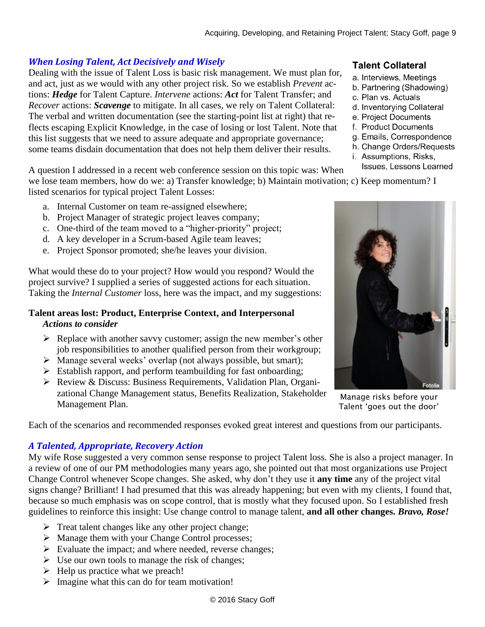#### *When Losing Talent, Act Decisively and Wisely*

Dealing with the issue of Talent Loss is basic risk management. We must plan for, and act, just as we would with any other project risk. So we establish *Prevent* actions: *Hedge* for Talent Capture. *Intervene* actions: *Act* for Talent Transfer; and *Recover* actions: *Scavenge* to mitigate. In all cases, we rely on Talent Collateral: The verbal and written documentation (see the starting-point list at right) that reflects escaping Explicit Knowledge, in the case of losing or lost Talent. Note that this list suggests that we need to assure adequate and appropriate governance; some teams disdain documentation that does not help them deliver their results.

A question I addressed in a recent web conference session on this topic was: When

we lose team members, how do we: a) Transfer knowledge; b) Maintain motivation; c) Keep momentum? I listed scenarios for typical project Talent Losses:

- a. Internal Customer on team re-assigned elsewhere;
- b. Project Manager of strategic project leaves company;
- c. One-third of the team moved to a "higher-priority" project;
- d. A key developer in a Scrum-based Agile team leaves;
- e. Project Sponsor promoted; she/he leaves your division.

What would these do to your project? How would you respond? Would the project survive? I supplied a series of suggested actions for each situation. Taking the *Internal Customer* loss, here was the impact, and my suggestions:

#### **Talent areas lost: Product, Enterprise Context, and Interpersonal**  *Actions to consider*

- ➢ Replace with another savvy customer; assign the new member's other job responsibilities to another qualified person from their workgroup;
- ➢ Manage several weeks' overlap (not always possible, but smart);
- ➢ Establish rapport, and perform teambuilding for fast onboarding;
- ➢ Review & Discuss: Business Requirements, Validation Plan, Organizational Change Management status, Benefits Realization, Stakeholder Management Plan.

Each of the scenarios and recommended responses evoked great interest and questions from our participants.

#### *A Talented, Appropriate, Recovery Action*

My wife Rose suggested a very common sense response to project Talent loss. She is also a project manager. In a review of one of our PM methodologies many years ago, she pointed out that most organizations use Project Change Control whenever Scope changes. She asked, why don't they use it **any time** any of the project vital signs change? Brilliant! I had presumed that this was already happening; but even with my clients, I found that, because so much emphasis was on scope control, that is mostly what they focused upon. So I established fresh guidelines to reinforce this insight: Use change control to manage talent, **and all other changes.** *Bravo, Rose!*

- ➢ Treat talent changes like any other project change;
- ➢ Manage them with your Change Control processes;
- ➢ Evaluate the impact; and where needed, reverse changes;
- $\triangleright$  Use our own tools to manage the risk of changes;
- $\blacktriangleright$  Help us practice what we preach!
- ➢ Imagine what this can do for team motivation!

#### **Talent Collateral**

- a. Interviews, Meetings
- b. Partnering (Shadowing)
- c. Plan vs. Actuals
- d. Inventorying Collateral
- e. Project Documents
- f. Product Documents
- g. Emails, Correspondence
- h. Change Orders/Requests
- i. Assumptions, Risks,
- Issues, Lessons Learned



Manage risks before your Talent 'goes out the door'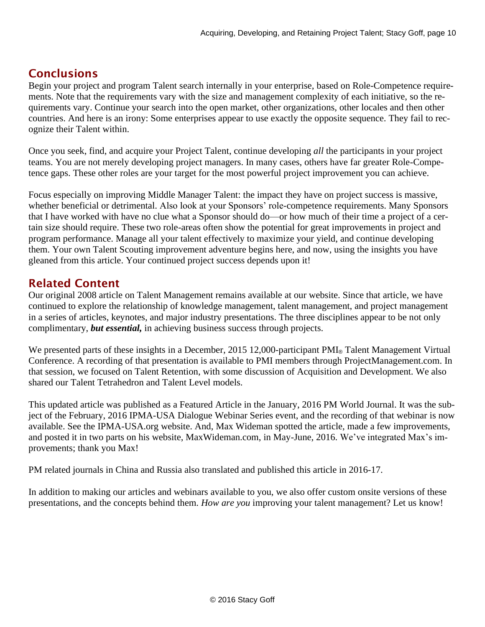# **Conclusions**

Begin your project and program Talent search internally in your enterprise, based on Role-Competence requirements. Note that the requirements vary with the size and management complexity of each initiative, so the requirements vary. Continue your search into the open market, other organizations, other locales and then other countries. And here is an irony: Some enterprises appear to use exactly the opposite sequence. They fail to recognize their Talent within.

Once you seek, find, and acquire your Project Talent, continue developing *all* the participants in your project teams. You are not merely developing project managers. In many cases, others have far greater Role-Competence gaps. These other roles are your target for the most powerful project improvement you can achieve.

Focus especially on improving Middle Manager Talent: the impact they have on project success is massive, whether beneficial or detrimental. Also look at your Sponsors' role-competence requirements. Many Sponsors that I have worked with have no clue what a Sponsor should do—or how much of their time a project of a certain size should require. These two role-areas often show the potential for great improvements in project and program performance. Manage all your talent effectively to maximize your yield, and continue developing them. Your own Talent Scouting improvement adventure begins here, and now, using the insights you have gleaned from this article. Your continued project success depends upon it!

### Related Content

Our original 2008 article on Talent Management remains available at our website. Since that article, we have continued to explore the relationship of knowledge management, talent management, and project management in a series of articles, keynotes, and major industry presentations. The three disciplines appear to be not only complimentary, *but essential,* in achieving business success through projects.

We presented parts of these insights in a December, 2015 12,000-participant PMI® Talent Management Virtual Conference. A recording of that presentation is available to PMI members through ProjectManagement.com. In that session, we focused on Talent Retention, with some discussion of Acquisition and Development. We also shared our Talent Tetrahedron and Talent Level models.

This updated article was published as a Featured Article in the January, 2016 PM World Journal. It was the subject of the February, 2016 IPMA-USA Dialogue Webinar Series event, and the recording of that webinar is now available. See the IPMA-USA.org website. And, Max Wideman spotted the article, made a few improvements, and posted it in two parts on his website, MaxWideman.com, in May-June, 2016. We've integrated Max's improvements; thank you Max!

PM related journals in China and Russia also translated and published this article in 2016-17.

In addition to making our articles and webinars available to you, we also offer custom onsite versions of these presentations, and the concepts behind them. *How are you* improving your talent management? Let us know!